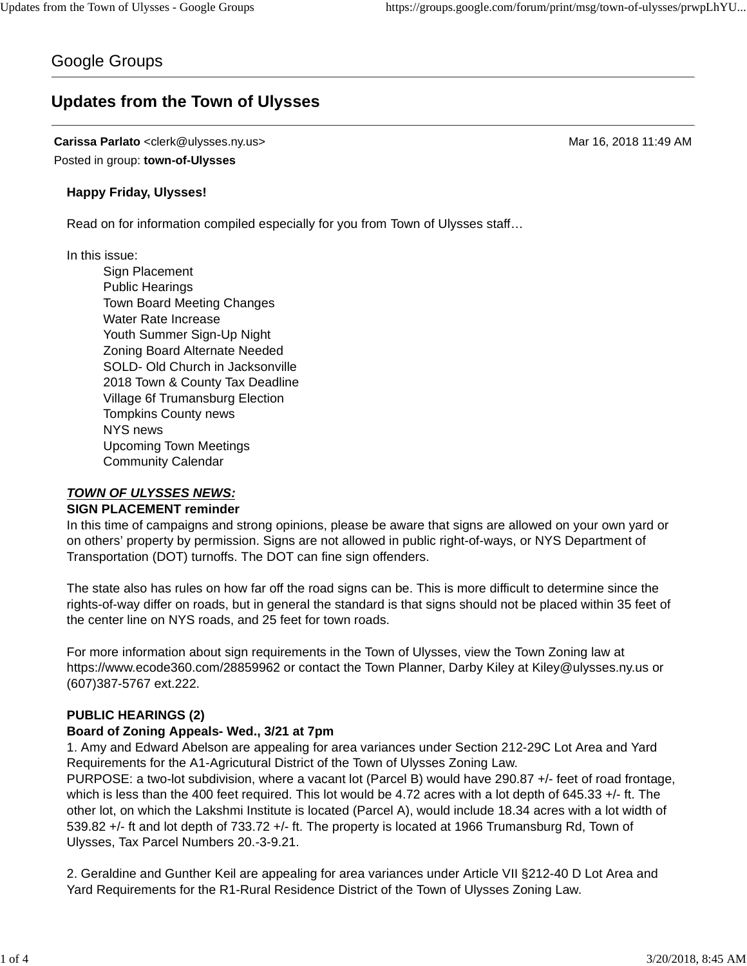# Google Groups

# **Updates from the Town of Ulysses**

**Carissa Parlato** <clerk@ulysses.ny.us> Mar 16, 2018 11:49 AM Posted in group: **town-of-Ulysses**

## **Happy Friday, Ulysses!**

Read on for information compiled especially for you from Town of Ulysses staff…

In this issue:

Sign Placement Public Hearings Town Board Meeting Changes Water Rate Increase Youth Summer Sign-Up Night Zoning Board Alternate Needed SOLD- Old Church in Jacksonville 2018 Town & County Tax Deadline Village 6f Trumansburg Election Tompkins County news NYS news Upcoming Town Meetings Community Calendar

# *TOWN OF ULYSSES NEWS:*

#### **SIGN PLACEMENT reminder**

In this time of campaigns and strong opinions, please be aware that signs are allowed on your own yard or on others' property by permission. Signs are not allowed in public right-of-ways, or NYS Department of Transportation (DOT) turnoffs. The DOT can fine sign offenders.

The state also has rules on how far off the road signs can be. This is more difficult to determine since the rights-of-way differ on roads, but in general the standard is that signs should not be placed within 35 feet of the center line on NYS roads, and 25 feet for town roads.

For more information about sign requirements in the Town of Ulysses, view the Town Zoning law at https://www.ecode360.com/28859962 or contact the Town Planner, Darby Kiley at Kiley@ulysses.ny.us or (607)387-5767 ext.222.

# **PUBLIC HEARINGS (2)**

# **Board of Zoning Appeals- Wed., 3/21 at 7pm**

1. Amy and Edward Abelson are appealing for area variances under Section 212-29C Lot Area and Yard Requirements for the A1-Agricutural District of the Town of Ulysses Zoning Law. PURPOSE: a two-lot subdivision, where a vacant lot (Parcel B) would have 290.87 +/- feet of road frontage, which is less than the 400 feet required. This lot would be 4.72 acres with a lot depth of 645.33 +/- ft. The other lot, on which the Lakshmi Institute is located (Parcel A), would include 18.34 acres with a lot width of 539.82 +/- ft and lot depth of 733.72 +/- ft. The property is located at 1966 Trumansburg Rd, Town of Ulysses, Tax Parcel Numbers 20.-3-9.21.

2. Geraldine and Gunther Keil are appealing for area variances under Article VII §212-40 D Lot Area and Yard Requirements for the R1-Rural Residence District of the Town of Ulysses Zoning Law.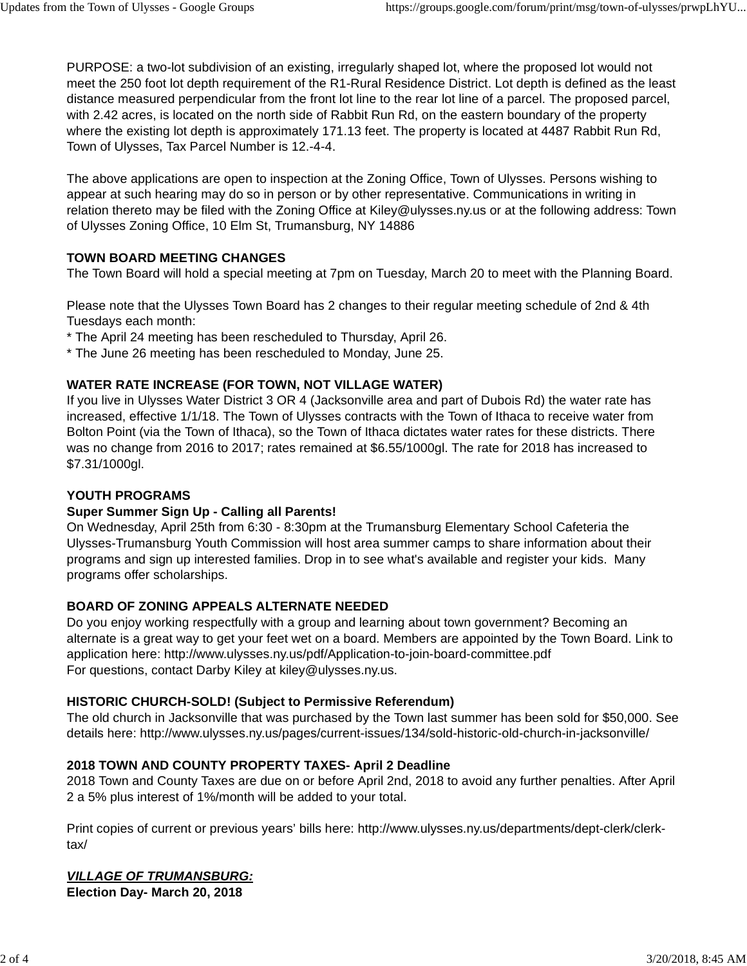PURPOSE: a two-lot subdivision of an existing, irregularly shaped lot, where the proposed lot would not meet the 250 foot lot depth requirement of the R1-Rural Residence District. Lot depth is defined as the least distance measured perpendicular from the front lot line to the rear lot line of a parcel. The proposed parcel, with 2.42 acres, is located on the north side of Rabbit Run Rd, on the eastern boundary of the property where the existing lot depth is approximately 171.13 feet. The property is located at 4487 Rabbit Run Rd, Town of Ulysses, Tax Parcel Number is 12.-4-4.

The above applications are open to inspection at the Zoning Office, Town of Ulysses. Persons wishing to appear at such hearing may do so in person or by other representative. Communications in writing in relation thereto may be filed with the Zoning Office at Kiley@ulysses.ny.us or at the following address: Town of Ulysses Zoning Office, 10 Elm St, Trumansburg, NY 14886

# **TOWN BOARD MEETING CHANGES**

The Town Board will hold a special meeting at 7pm on Tuesday, March 20 to meet with the Planning Board.

Please note that the Ulysses Town Board has 2 changes to their regular meeting schedule of 2nd & 4th Tuesdays each month:

- \* The April 24 meeting has been rescheduled to Thursday, April 26.
- \* The June 26 meeting has been rescheduled to Monday, June 25.

## **WATER RATE INCREASE (FOR TOWN, NOT VILLAGE WATER)**

If you live in Ulysses Water District 3 OR 4 (Jacksonville area and part of Dubois Rd) the water rate has increased, effective 1/1/18. The Town of Ulysses contracts with the Town of Ithaca to receive water from Bolton Point (via the Town of Ithaca), so the Town of Ithaca dictates water rates for these districts. There was no change from 2016 to 2017; rates remained at \$6.55/1000gl. The rate for 2018 has increased to \$7.31/1000gl.

# **YOUTH PROGRAMS**

#### **Super Summer Sign Up - Calling all Parents!**

On Wednesday, April 25th from 6:30 - 8:30pm at the Trumansburg Elementary School Cafeteria the Ulysses-Trumansburg Youth Commission will host area summer camps to share information about their programs and sign up interested families. Drop in to see what's available and register your kids. Many programs offer scholarships.

# **BOARD OF ZONING APPEALS ALTERNATE NEEDED**

Do you enjoy working respectfully with a group and learning about town government? Becoming an alternate is a great way to get your feet wet on a board. Members are appointed by the Town Board. Link to application here: http://www.ulysses.ny.us/pdf/Application-to-join-board-committee.pdf For questions, contact Darby Kiley at kiley@ulysses.ny.us.

#### **HISTORIC CHURCH-SOLD! (Subject to Permissive Referendum)**

The old church in Jacksonville that was purchased by the Town last summer has been sold for \$50,000. See details here: http://www.ulysses.ny.us/pages/current-issues/134/sold-historic-old-church-in-jacksonville/

# **2018 TOWN AND COUNTY PROPERTY TAXES- April 2 Deadline**

2018 Town and County Taxes are due on or before April 2nd, 2018 to avoid any further penalties. After April 2 a 5% plus interest of 1%/month will be added to your total.

Print copies of current or previous years' bills here: http://www.ulysses.ny.us/departments/dept-clerk/clerktax/

#### *VILLAGE OF TRUMANSBURG:* **Election Day- March 20, 2018**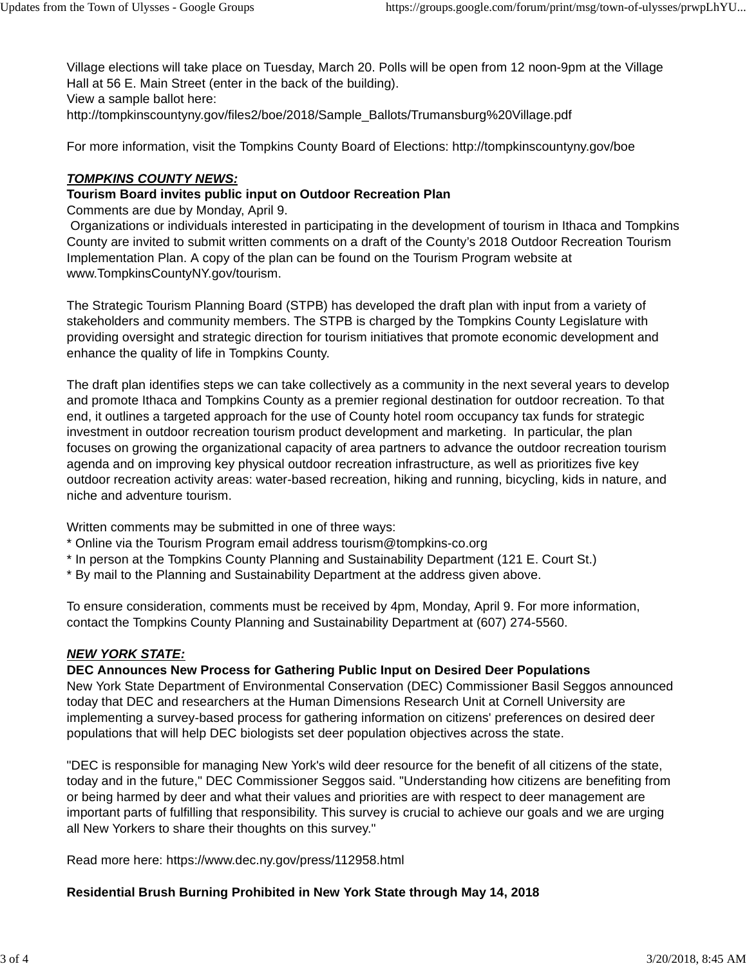Village elections will take place on Tuesday, March 20. Polls will be open from 12 noon-9pm at the Village Hall at 56 E. Main Street (enter in the back of the building). View a sample ballot here: http://tompkinscountyny.gov/files2/boe/2018/Sample\_Ballots/Trumansburg%20Village.pdf

For more information, visit the Tompkins County Board of Elections: http://tompkinscountyny.gov/boe

#### *TOMPKINS COUNTY NEWS:*

#### **Tourism Board invites public input on Outdoor Recreation Plan**

Comments are due by Monday, April 9.

Organizations or individuals interested in participating in the development of tourism in Ithaca and Tompkins County are invited to submit written comments on a draft of the County's 2018 Outdoor Recreation Tourism Implementation Plan. A copy of the plan can be found on the Tourism Program website at www.TompkinsCountyNY.gov/tourism.

The Strategic Tourism Planning Board (STPB) has developed the draft plan with input from a variety of stakeholders and community members. The STPB is charged by the Tompkins County Legislature with providing oversight and strategic direction for tourism initiatives that promote economic development and enhance the quality of life in Tompkins County.

The draft plan identifies steps we can take collectively as a community in the next several years to develop and promote Ithaca and Tompkins County as a premier regional destination for outdoor recreation. To that end, it outlines a targeted approach for the use of County hotel room occupancy tax funds for strategic investment in outdoor recreation tourism product development and marketing. In particular, the plan focuses on growing the organizational capacity of area partners to advance the outdoor recreation tourism agenda and on improving key physical outdoor recreation infrastructure, as well as prioritizes five key outdoor recreation activity areas: water-based recreation, hiking and running, bicycling, kids in nature, and niche and adventure tourism.

Written comments may be submitted in one of three ways:

- \* Online via the Tourism Program email address tourism@tompkins-co.org
- \* In person at the Tompkins County Planning and Sustainability Department (121 E. Court St.)
- \* By mail to the Planning and Sustainability Department at the address given above.

To ensure consideration, comments must be received by 4pm, Monday, April 9. For more information, contact the Tompkins County Planning and Sustainability Department at (607) 274-5560.

#### *NEW YORK STATE:*

#### **DEC Announces New Process for Gathering Public Input on Desired Deer Populations**

New York State Department of Environmental Conservation (DEC) Commissioner Basil Seggos announced today that DEC and researchers at the Human Dimensions Research Unit at Cornell University are implementing a survey-based process for gathering information on citizens' preferences on desired deer populations that will help DEC biologists set deer population objectives across the state.

"DEC is responsible for managing New York's wild deer resource for the benefit of all citizens of the state, today and in the future," DEC Commissioner Seggos said. "Understanding how citizens are benefiting from or being harmed by deer and what their values and priorities are with respect to deer management are important parts of fulfilling that responsibility. This survey is crucial to achieve our goals and we are urging all New Yorkers to share their thoughts on this survey."

Read more here: https://www.dec.ny.gov/press/112958.html

#### **Residential Brush Burning Prohibited in New York State through May 14, 2018**